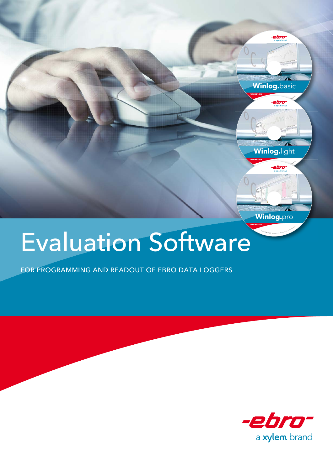

## Evaluation Software

FOR PROGRAMMING AND READOUT OF EBRO DATA LOGGERS



©201<sup>3</sup> **<sup>W</sup>T<sup>W</sup> <sup>G</sup>mb<sup>H</sup>** ·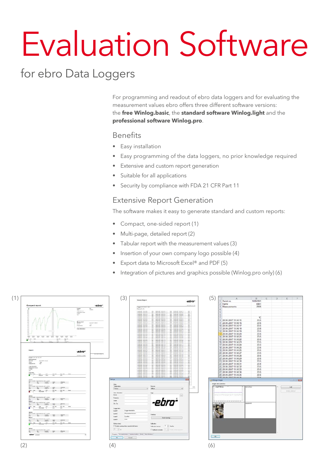# Evaluation Software

## for ebro Data Loggers

For programming and readout of ebro data loggers and for evaluating the measurement values ebro offers three different software versions: the **free Winlog.basic**, the **standard software Winlog.light** and the **professional software Winlog.pro**.

#### Benefits

- Easy installation
- Easy programming of the data loggers, no prior knowledge required
- Extensive and custom report generation
- Suitable for all applications
- Security by compliance with FDA 21 CFR Part 11

#### Extensive Report Generation

The software makes it easy to generate standard and custom reports:

- Compact, one-sided report (1)
- Multi-page, detailed report (2)
- Tabular report with the measurement values (3)
- Insertion of your own company logo possible (4)
- Export data to Microsoft Excel® and PDF (5)
- Integration of pictures and graphics possible (Winlog.pro only) (6)

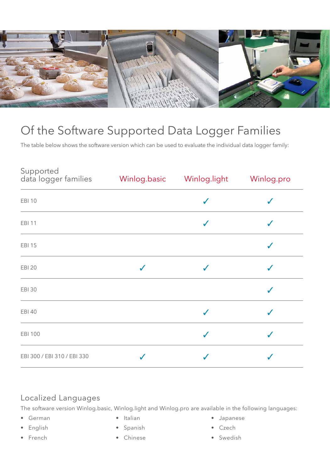

## Of the Software Supported Data Logger Families

The table below shows the software version which can be used to evaluate the individual data logger family:

| <b>EBI 10</b>               |              | $\checkmark$     |   |
|-----------------------------|--------------|------------------|---|
| <b>EBI 11</b>               |              | $\checkmark$     | J |
| <b>EBI 15</b>               |              |                  | J |
| <b>EBI 20</b>               | $\checkmark$ | $\checkmark$     | √ |
| <b>EBI 30</b>               |              |                  | ✔ |
| <b>EBI 40</b>               |              | $\checkmark$     | ✔ |
| <b>EBI 100</b>              |              | $\boldsymbol{J}$ |   |
| EBI 300 / EBI 310 / EBI 330 |              |                  |   |

#### Localized Languages

The software version Winlog.basic, Winlog.light and Winlog.pro are available in the following languages:

- German
- English
- French
- Italian
- Spanish
- Chinese
- Japanese
- Czech
- Swedish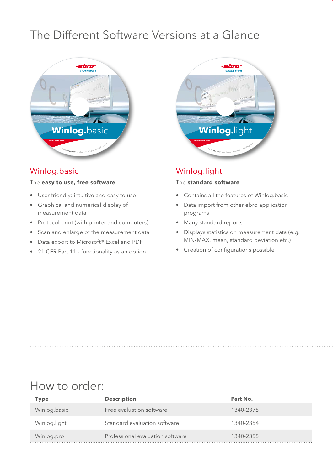## The Different Software Versions at a Glance



#### Winlog.basic

#### The **easy to use, free software**

- User friendly: intuitive and easy to use
- Graphical and numerical display of measurement data
- Protocol print (with printer and computers)
- Scan and enlarge of the measurement data
- Data export to Microsoft® Excel and PDF
- 21 CFR Part 11 functionality as an option



#### Winlog.light

#### The **standard software**

- Contains all the features of Winlog.basic
- Data import from other ebro application programs
- Many standard reports
- Displays statistics on measurement data (e.g. MIN/MAX, mean, standard deviation etc.)
- Creation of configurations possible

### How to order:

| Type         | <b>Description</b>               | Part No.  |
|--------------|----------------------------------|-----------|
| Winlog.basic | Free evaluation software         | 1340-2375 |
| Winlog.light | Standard evaluation software     | 1340-2354 |
| Winlog.pro   | Professional evaluation software | 1340-2355 |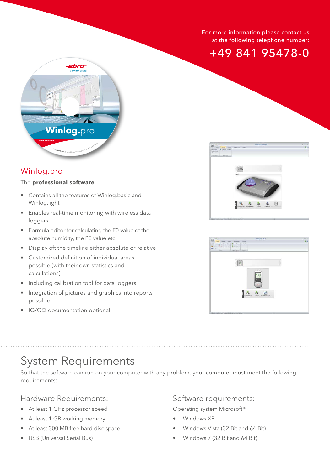#### For more information please contact us at the following telephone number:





#### Winlog.pro

#### The **professional software**

- Contains all the features of Winlog.basic and Winlog.light
- Enables real-time monitoring with wireless data loggers
- Formula editor for calculating the F0-value of the absolute humidity, the PE value etc.
- Display oft the timeline either absolute or relative
- Customized definition of individual areas possible (with their own statistics and calculations)
- Including calibration tool for data loggers
- Integration of pictures and graphics into reports possible
- IQ/OQ documentation optional





## System Requirements

So that the software can run on your computer with any problem, your computer must meet the following requirements:

#### Hardware Requirements:

- At least 1 GHz processor speed
- At least 1 GB working memory
- At least 300 MB free hard disc space
- USB (Universal Serial Bus)

#### Software requirements:

Operating system Microsoft®

- Windows XP
- Windows Vista (32 Bit and 64 Bit)
- Windows 7 (32 Bit and 64 Bit)